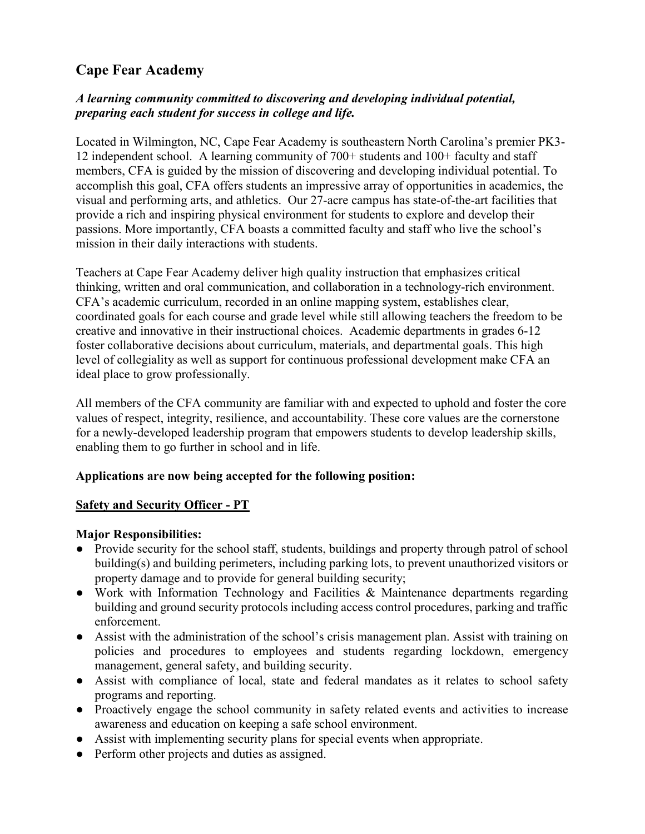# Cape Fear Academy

## A learning community committed to discovering and developing individual potential, preparing each student for success in college and life.

Located in Wilmington, NC, Cape Fear Academy is southeastern North Carolina's premier PK3- 12 independent school. A learning community of 700+ students and 100+ faculty and staff members, CFA is guided by the mission of discovering and developing individual potential. To accomplish this goal, CFA offers students an impressive array of opportunities in academics, the visual and performing arts, and athletics. Our 27-acre campus has state-of-the-art facilities that provide a rich and inspiring physical environment for students to explore and develop their passions. More importantly, CFA boasts a committed faculty and staff who live the school's mission in their daily interactions with students.

Teachers at Cape Fear Academy deliver high quality instruction that emphasizes critical thinking, written and oral communication, and collaboration in a technology-rich environment. CFA's academic curriculum, recorded in an online mapping system, establishes clear, coordinated goals for each course and grade level while still allowing teachers the freedom to be creative and innovative in their instructional choices. Academic departments in grades 6-12 foster collaborative decisions about curriculum, materials, and departmental goals. This high level of collegiality as well as support for continuous professional development make CFA an ideal place to grow professionally.

All members of the CFA community are familiar with and expected to uphold and foster the core values of respect, integrity, resilience, and accountability. These core values are the cornerstone for a newly-developed leadership program that empowers students to develop leadership skills, enabling them to go further in school and in life.

### Applications are now being accepted for the following position:

### Safety and Security Officer - PT

### Major Responsibilities:

- Provide security for the school staff, students, buildings and property through patrol of school building(s) and building perimeters, including parking lots, to prevent unauthorized visitors or property damage and to provide for general building security;
- Work with Information Technology and Facilities & Maintenance departments regarding building and ground security protocols including access control procedures, parking and traffic enforcement.
- Assist with the administration of the school's crisis management plan. Assist with training on policies and procedures to employees and students regarding lockdown, emergency management, general safety, and building security.
- Assist with compliance of local, state and federal mandates as it relates to school safety programs and reporting.
- Proactively engage the school community in safety related events and activities to increase awareness and education on keeping a safe school environment.
- Assist with implementing security plans for special events when appropriate.
- Perform other projects and duties as assigned.